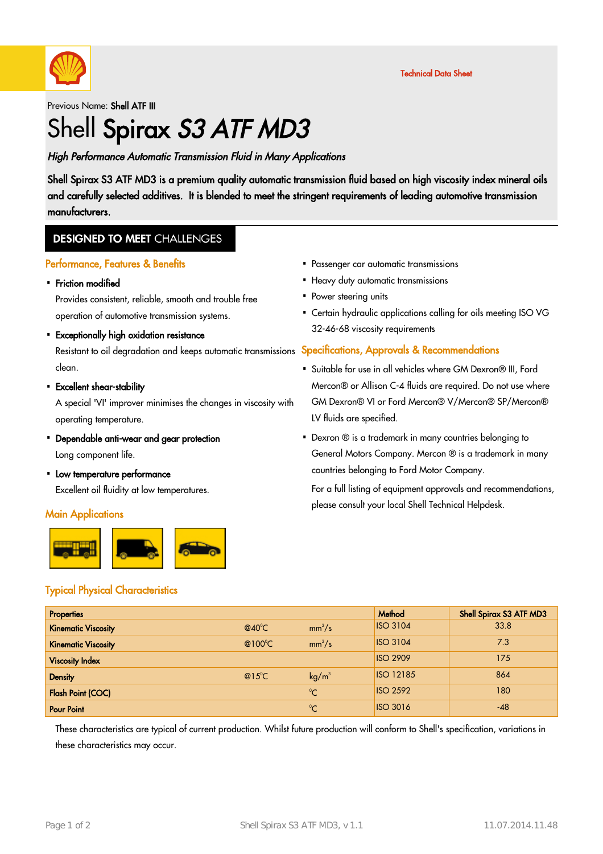

Technical Data Sheet

Previous Name: Shell ATF III

# Shell Spirax S3 ATF MD3

High Performance Automatic Transmission Fluid in Many Applications

Shell Spirax S3 ATF MD3 is a premium quality automatic transmission fluid based on high viscosity index mineral oils and carefully selected additives. It is blended to meet the stringent requirements of leading automotive transmission manufacturers.

### **DESIGNED TO MEET CHALLENGES**

#### Performance, Features & Benefits

• Friction modified

Provides consistent, reliable, smooth and trouble free operation of automotive transmission systems.

Exceptionally high oxidation resistance ·

Resistant to oil degradation and keeps automatic transmissions Specifications, Approvals & Recommendations clean.

Excellent shear-stability ·

A special 'VI' improver minimises the changes in viscosity with operating temperature.

- Dependable anti-wear and gear protection · Long component life.
- Low temperature performance Excellent oil fluidity at low temperatures.

#### **Main Applications**



- Passenger car automatic transmissions ·
- Heavy duty automatic transmissions
- Power steering units
- Certain hydraulic applications calling for oils meeting ISO VG 32-46-68 viscosity requirements

- Suitable for use in all vehicles where GM Dexron® III, Ford · Mercon® or Allison C-4 fluids are required. Do not use where GM Dexron® VI or Ford Mercon® V/Mercon® SP/Mercon® LV fluids are specified.
- Dexron ® is a trademark in many countries belonging to · General Motors Company. Mercon ® is a trademark in many countries belonging to Ford Motor Company.

For a full listing of equipment approvals and recommendations, please consult your local Shell Technical Helpdesk.

#### Typical Physical Characteristics

| <b>Properties</b>          |                 |                   | Method           | Shell Spirax S3 ATF MD3 |
|----------------------------|-----------------|-------------------|------------------|-------------------------|
| <b>Kinematic Viscosity</b> | $@40^{\circ}$ C | $mm^2/s$          | <b>ISO 3104</b>  | 33.8                    |
| <b>Kinematic Viscosity</b> | @100°C          | $mm^2/s$          | <b>ISO 3104</b>  | 7.3                     |
| <b>Viscosity Index</b>     |                 |                   | <b>ISO 2909</b>  | 175                     |
| <b>Density</b>             | $@15^{\circ}$ C | kg/m <sup>3</sup> | <b>ISO 12185</b> | 864                     |
| <b>Flash Point (COC)</b>   |                 | $^{\circ}$ C      | <b>ISO 2592</b>  | 180                     |
| <b>Pour Point</b>          |                 | $\sim$            | <b>ISO 3016</b>  | $-48$                   |

These characteristics are typical of current production. Whilst future production will conform to Shell's specification, variations in these characteristics may occur.